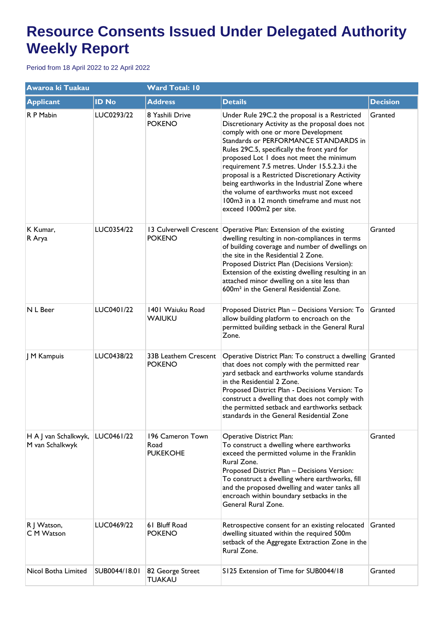## **Resource Consents Issued Under Delegated Authority Weekly Report**

Period from 18 April 2022 to 22 April 2022

| Awaroa ki Tuakau                        |               | <b>Ward Total: 10</b>                       |                                                                                                                                                                                                                                                                                                                                                                                                                                                                                                                                                       |                 |  |
|-----------------------------------------|---------------|---------------------------------------------|-------------------------------------------------------------------------------------------------------------------------------------------------------------------------------------------------------------------------------------------------------------------------------------------------------------------------------------------------------------------------------------------------------------------------------------------------------------------------------------------------------------------------------------------------------|-----------------|--|
| <b>Applicant</b>                        | <b>ID No</b>  | <b>Address</b>                              | <b>Details</b>                                                                                                                                                                                                                                                                                                                                                                                                                                                                                                                                        | <b>Decision</b> |  |
| R P Mabin                               | LUC0293/22    | 8 Yashili Drive<br><b>POKENO</b>            | Under Rule 29C.2 the proposal is a Restricted<br>Discretionary Activity as the proposal does not<br>comply with one or more Development<br>Standards or PERFORMANCE STANDARDS in<br>Rules 29C.5, specifically the front yard for<br>proposed Lot I does not meet the minimum<br>requirement 7.5 metres. Under 15.5.2.3.i the<br>proposal is a Restricted Discretionary Activity<br>being earthworks in the Industrial Zone where<br>the volume of earthworks must not exceed<br>100m3 in a 12 month timeframe and must not<br>exceed 1000m2 per site. | Granted         |  |
| K Kumar,<br>R Arya                      | LUC0354/22    | <b>POKENO</b>                               | 13 Culverwell Crescent   Operative Plan: Extension of the existing<br>dwelling resulting in non-compliances in terms<br>of building coverage and number of dwellings on<br>the site in the Residential 2 Zone.<br>Proposed District Plan (Decisions Version):<br>Extension of the existing dwelling resulting in an<br>attached minor dwelling on a site less than<br>600m <sup>2</sup> in the General Residential Zone.                                                                                                                              | Granted         |  |
| N L Beer                                | LUC0401/22    | 1401 Waiuku Road<br><b>WAIUKU</b>           | Proposed District Plan - Decisions Version: To<br>allow building platform to encroach on the<br>permitted building setback in the General Rural<br>Zone.                                                                                                                                                                                                                                                                                                                                                                                              | Granted         |  |
| J M Kampuis                             | LUC0438/22    | 33B Leathem Crescent<br><b>POKENO</b>       | Operative District Plan: To construct a dwelling Granted<br>that does not comply with the permitted rear<br>yard setback and earthworks volume standards<br>in the Residential 2 Zone.<br>Proposed District Plan - Decisions Version: To<br>construct a dwelling that does not comply with<br>the permitted setback and earthworks setback<br>standards in the General Residential Zone                                                                                                                                                               |                 |  |
| H A J van Schalkwyk,<br>M van Schalkwyk | LUC0461/22    | 196 Cameron Town<br>Road<br><b>PUKEKOHE</b> | <b>Operative District Plan:</b><br>To construct a dwelling where earthworks<br>exceed the permitted volume in the Franklin<br>Rural Zone.<br>Proposed District Plan - Decisions Version:<br>To construct a dwelling where earthworks, fill<br>and the proposed dwelling and water tanks all<br>encroach within boundary setbacks in the<br>General Rural Zone.                                                                                                                                                                                        | Granted         |  |
| R J Watson,<br>C M Watson               | LUC0469/22    | 61 Bluff Road<br><b>POKENO</b>              | Retrospective consent for an existing relocated<br>dwelling situated within the required 500m<br>setback of the Aggregate Extraction Zone in the<br>Rural Zone.                                                                                                                                                                                                                                                                                                                                                                                       | Granted         |  |
| Nicol Botha Limited                     | SUB0044/18.01 | 82 George Street<br>TUAKAU                  | S125 Extension of Time for SUB0044/18                                                                                                                                                                                                                                                                                                                                                                                                                                                                                                                 | Granted         |  |